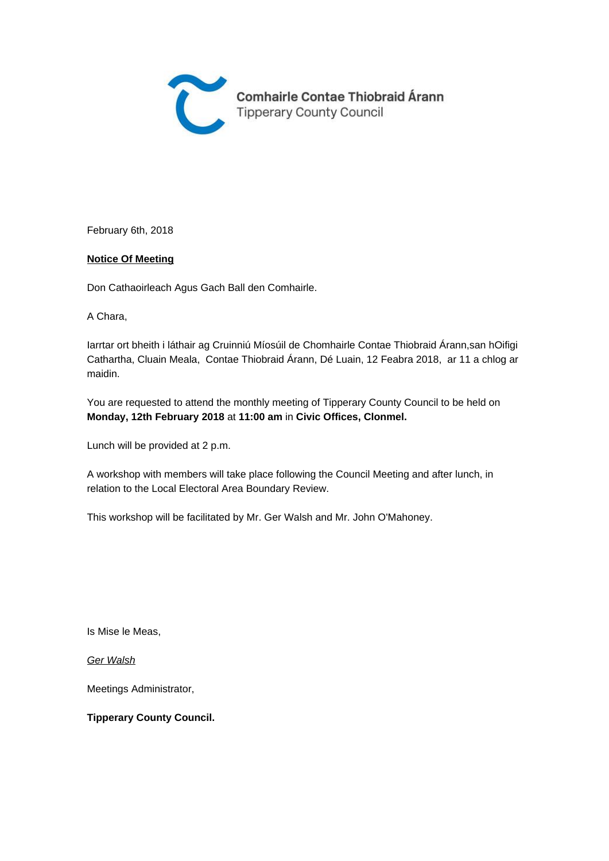

February 6th, 2018

#### **Notice Of Meeting**

Don Cathaoirleach Agus Gach Ball den Comhairle.

A Chara,

Iarrtar ort bheith i láthair ag Cruinniú Míosúil de Chomhairle Contae Thiobraid Árann,san hOifigi Cathartha, Cluain Meala, Contae Thiobraid Árann, Dé Luain, 12 Feabra 2018, ar 11 a chlog ar maidin.

You are requested to attend the monthly meeting of Tipperary County Council to be held on **Monday, 12th February 2018** at **11:00 am** in **Civic Offices, Clonmel.** 

Lunch will be provided at 2 p.m.

A workshop with members will take place following the Council Meeting and after lunch, in relation to the Local Electoral Area Boundary Review.

This workshop will be facilitated by Mr. Ger Walsh and Mr. John O'Mahoney.

Is Mise le Meas,

Ger Walsh

Meetings Administrator,

#### **Tipperary County Council.**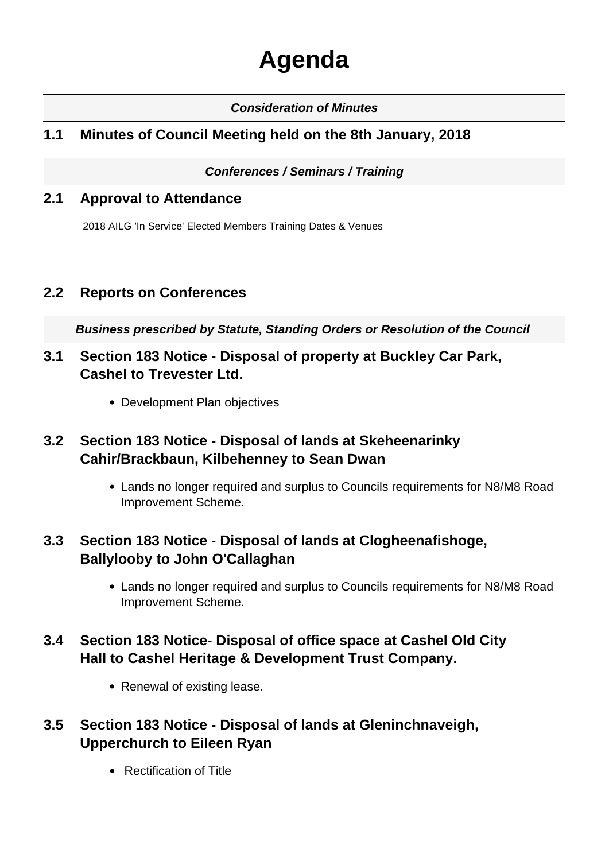# **Agenda**

#### **Consideration of Minutes**

## **1.1 Minutes of Council Meeting held on the 8th January, 2018**

#### **Conferences / Seminars / Training**

#### **2.1 Approval to Attendance**

2018 AILG 'In Service' Elected Members Training Dates & Venues

## **2.2 Reports on Conferences**

**Business prescribed by Statute, Standing Orders or Resolution of the Council** 

- **3.1 Section 183 Notice Disposal of property at Buckley Car Park, Cashel to Trevester Ltd.**
	- Development Plan objectives

## **3.2 Section 183 Notice - Disposal of lands at Skeheenarinky Cahir/Brackbaun, Kilbehenney to Sean Dwan**

Lands no longer required and surplus to Councils requirements for N8/M8 Road Improvement Scheme.

## **3.3 Section 183 Notice - Disposal of lands at Clogheenafishoge, Ballylooby to John O'Callaghan**

Lands no longer required and surplus to Councils requirements for N8/M8 Road Improvement Scheme.

## **3.4 Section 183 Notice- Disposal of office space at Cashel Old City Hall to Cashel Heritage & Development Trust Company.**

• Renewal of existing lease.

## **3.5 Section 183 Notice - Disposal of lands at Gleninchnaveigh, Upperchurch to Eileen Ryan**

Rectification of Title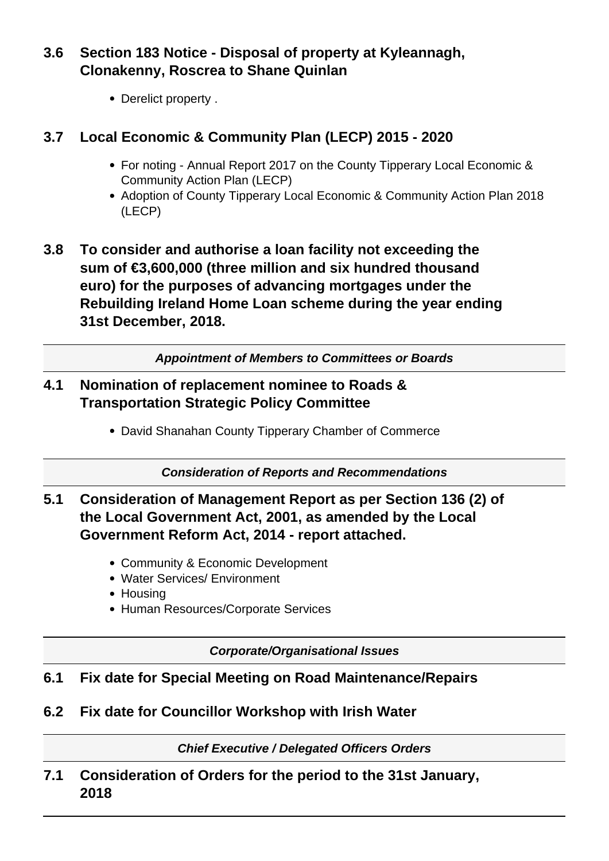**3.6 Section 183 Notice - Disposal of property at Kyleannagh, Clonakenny, Roscrea to Shane Quinlan**

• Derelict property.

## **3.7 Local Economic & Community Plan (LECP) 2015 - 2020**

- For noting Annual Report 2017 on the County Tipperary Local Economic & Community Action Plan (LECP)
- Adoption of County Tipperary Local Economic & Community Action Plan 2018 (LECP)
- **3.8 To consider and authorise a loan facility not exceeding the sum of €3,600,000 (three million and six hundred thousand euro) for the purposes of advancing mortgages under the Rebuilding Ireland Home Loan scheme during the year ending 31st December, 2018.**

**Appointment of Members to Committees or Boards**

#### **4.1 Nomination of replacement nominee to Roads & Transportation Strategic Policy Committee**

David Shanahan County Tipperary Chamber of Commerce

**Consideration of Reports and Recommendations**

## **5.1 Consideration of Management Report as per Section 136 (2) of the Local Government Act, 2001, as amended by the Local Government Reform Act, 2014 - report attached.**

- Community & Economic Development
- Water Services/ Environment
- Housing
- Human Resources/Corporate Services

**Corporate/Organisational Issues**

## **6.1 Fix date for Special Meeting on Road Maintenance/Repairs**

**6.2 Fix date for Councillor Workshop with Irish Water**

**Chief Executive / Delegated Officers Orders**

**7.1 Consideration of Orders for the period to the 31st January, 2018**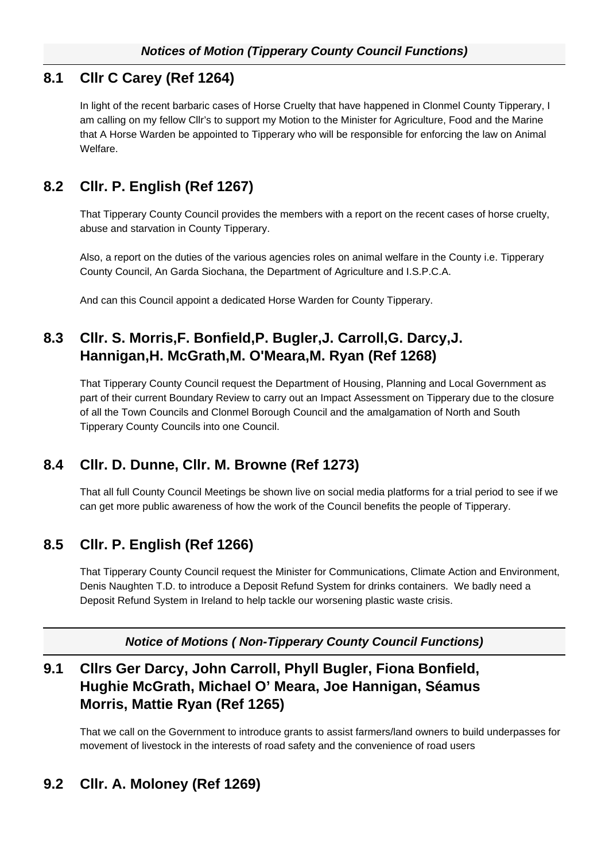#### **8.1 Cllr C Carey (Ref 1264)**

In light of the recent barbaric cases of Horse Cruelty that have happened in Clonmel County Tipperary, I am calling on my fellow Cllr's to support my Motion to the Minister for Agriculture, Food and the Marine that A Horse Warden be appointed to Tipperary who will be responsible for enforcing the law on Animal Welfare.

## **8.2 Cllr. P. English (Ref 1267)**

That Tipperary County Council provides the members with a report on the recent cases of horse cruelty, abuse and starvation in County Tipperary.

Also, a report on the duties of the various agencies roles on animal welfare in the County i.e. Tipperary County Council, An Garda Siochana, the Department of Agriculture and I.S.P.C.A.

And can this Council appoint a dedicated Horse Warden for County Tipperary.

## **8.3 Cllr. S. Morris,F. Bonfield,P. Bugler,J. Carroll,G. Darcy,J. Hannigan,H. McGrath,M. O'Meara,M. Ryan (Ref 1268)**

That Tipperary County Council request the Department of Housing, Planning and Local Government as part of their current Boundary Review to carry out an Impact Assessment on Tipperary due to the closure of all the Town Councils and Clonmel Borough Council and the amalgamation of North and South Tipperary County Councils into one Council.

# **8.4 Cllr. D. Dunne, Cllr. M. Browne (Ref 1273)**

That all full County Council Meetings be shown live on social media platforms for a trial period to see if we can get more public awareness of how the work of the Council benefits the people of Tipperary.

# **8.5 Cllr. P. English (Ref 1266)**

That Tipperary County Council request the Minister for Communications, Climate Action and Environment, Denis Naughten T.D. to introduce a Deposit Refund System for drinks containers. We badly need a Deposit Refund System in Ireland to help tackle our worsening plastic waste crisis.

**Notice of Motions ( Non-Tipperary County Council Functions)**

# **9.1 Cllrs Ger Darcy, John Carroll, Phyll Bugler, Fiona Bonfield, Hughie McGrath, Michael O' Meara, Joe Hannigan, Séamus Morris, Mattie Ryan (Ref 1265)**

That we call on the Government to introduce grants to assist farmers/land owners to build underpasses for movement of livestock in the interests of road safety and the convenience of road users

# **9.2 Cllr. A. Moloney (Ref 1269)**